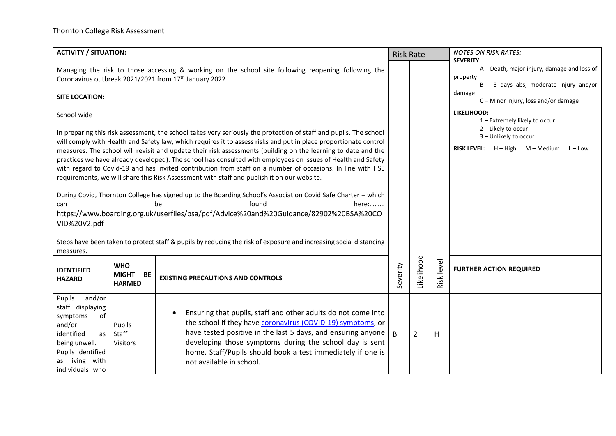| <b>ACTIVITY / SITUATION:</b><br><b>Risk Rate</b>                                                                                                                                                                                                      |                                                   |                                                                                                                                                                                                                                                                                                                                                                                                                                                                                                                                                                                                                                                                                    |          |                |              | <b>NOTES ON RISK RATES:</b>                                                                                             |
|-------------------------------------------------------------------------------------------------------------------------------------------------------------------------------------------------------------------------------------------------------|---------------------------------------------------|------------------------------------------------------------------------------------------------------------------------------------------------------------------------------------------------------------------------------------------------------------------------------------------------------------------------------------------------------------------------------------------------------------------------------------------------------------------------------------------------------------------------------------------------------------------------------------------------------------------------------------------------------------------------------------|----------|----------------|--------------|-------------------------------------------------------------------------------------------------------------------------|
|                                                                                                                                                                                                                                                       |                                                   | Managing the risk to those accessing & working on the school site following reopening following the<br>Coronavirus outbreak 2021/2021 from 17th January 2022                                                                                                                                                                                                                                                                                                                                                                                                                                                                                                                       |          |                |              | <b>SEVERITY:</b><br>A - Death, major injury, damage and loss of<br>property<br>$B - 3$ days abs, moderate injury and/or |
| <b>SITE LOCATION:</b>                                                                                                                                                                                                                                 |                                                   |                                                                                                                                                                                                                                                                                                                                                                                                                                                                                                                                                                                                                                                                                    |          |                |              | damage<br>C-Minor injury, loss and/or damage                                                                            |
| School wide                                                                                                                                                                                                                                           |                                                   |                                                                                                                                                                                                                                                                                                                                                                                                                                                                                                                                                                                                                                                                                    |          |                |              | LIKELIHOOD:<br>1 - Extremely likely to occur                                                                            |
|                                                                                                                                                                                                                                                       |                                                   | In preparing this risk assessment, the school takes very seriously the protection of staff and pupils. The school<br>will comply with Health and Safety law, which requires it to assess risks and put in place proportionate control<br>measures. The school will revisit and update their risk assessments (building on the learning to date and the<br>practices we have already developed). The school has consulted with employees on issues of Health and Safety<br>with regard to Covid-19 and has invited contribution from staff on a number of occasions. In line with HSE<br>requirements, we will share this Risk Assessment with staff and publish it on our website. |          |                |              | 2 - Likely to occur<br>3 - Unlikely to occur<br>RISK LEVEL: H - High M - Medium L - Low                                 |
| During Covid, Thornton College has signed up to the Boarding School's Association Covid Safe Charter - which<br>found<br>here:<br>be<br>can<br>https://www.boarding.org.uk/userfiles/bsa/pdf/Advice%20and%20Guidance/82902%20BSA%20CO<br>VID%20V2.pdf |                                                   |                                                                                                                                                                                                                                                                                                                                                                                                                                                                                                                                                                                                                                                                                    |          |                |              |                                                                                                                         |
| measures.                                                                                                                                                                                                                                             |                                                   | Steps have been taken to protect staff & pupils by reducing the risk of exposure and increasing social distancing                                                                                                                                                                                                                                                                                                                                                                                                                                                                                                                                                                  |          |                |              |                                                                                                                         |
| <b>IDENTIFIED</b><br><b>HAZARD</b>                                                                                                                                                                                                                    | <b>WHO</b><br><b>MIGHT</b><br>BE<br><b>HARMED</b> | <b>EXISTING PRECAUTIONS AND CONTROLS</b>                                                                                                                                                                                                                                                                                                                                                                                                                                                                                                                                                                                                                                           | Severity | Likelihood     | Risk level   | <b>FURTHER ACTION REQUIRED</b>                                                                                          |
| Pupils<br>and/or<br>staff displaying<br>of<br>symptoms<br>and/or<br>identified<br>as<br>being unwell.<br>Pupils identified<br>as living with<br>individuals who                                                                                       | Pupils<br>Staff<br><b>Visitors</b>                | Ensuring that pupils, staff and other adults do not come into<br>$\bullet$<br>the school if they have coronavirus (COVID-19) symptoms, or<br>have tested positive in the last 5 days, and ensuring anyone  <br>developing those symptoms during the school day is sent<br>home. Staff/Pupils should book a test immediately if one is<br>not available in school.                                                                                                                                                                                                                                                                                                                  | B        | $\overline{2}$ | $\mathsf{H}$ |                                                                                                                         |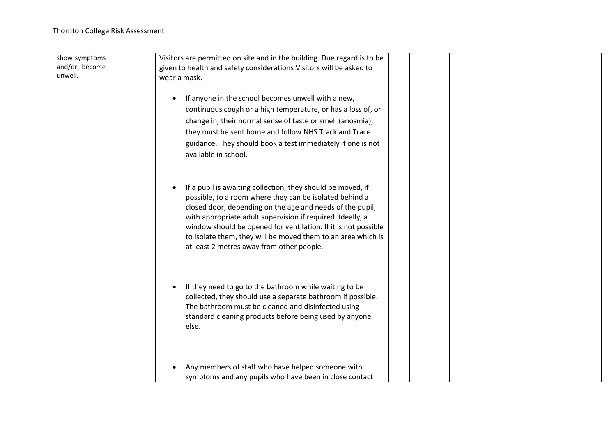| show symptoms | Visitors are permitted on site and in the building. Due regard is to be |
|---------------|-------------------------------------------------------------------------|
| and/or become | given to health and safety considerations Visitors will be asked to     |
| unwell.       | wear a mask.                                                            |
|               |                                                                         |
|               | If anyone in the school becomes unwell with a new,<br>$\bullet$         |
|               | continuous cough or a high temperature, or has a loss of, or            |
|               | change in, their normal sense of taste or smell (anosmia),              |
|               | they must be sent home and follow NHS Track and Trace                   |
|               | guidance. They should book a test immediately if one is not             |
|               | available in school.                                                    |
|               |                                                                         |
|               |                                                                         |
|               | If a pupil is awaiting collection, they should be moved, if             |
|               | possible, to a room where they can be isolated behind a                 |
|               | closed door, depending on the age and needs of the pupil,               |
|               | with appropriate adult supervision if required. Ideally, a              |
|               | window should be opened for ventilation. If it is not possible          |
|               | to isolate them, they will be moved them to an area which is            |
|               | at least 2 metres away from other people.                               |
|               |                                                                         |
|               |                                                                         |
|               |                                                                         |
|               | If they need to go to the bathroom while waiting to be                  |
|               | collected, they should use a separate bathroom if possible.             |
|               | The bathroom must be cleaned and disinfected using                      |
|               | standard cleaning products before being used by anyone                  |
|               | else.                                                                   |
|               |                                                                         |
|               |                                                                         |
|               |                                                                         |
|               | Any members of staff who have helped someone with                       |
|               | symptoms and any pupils who have been in close contact                  |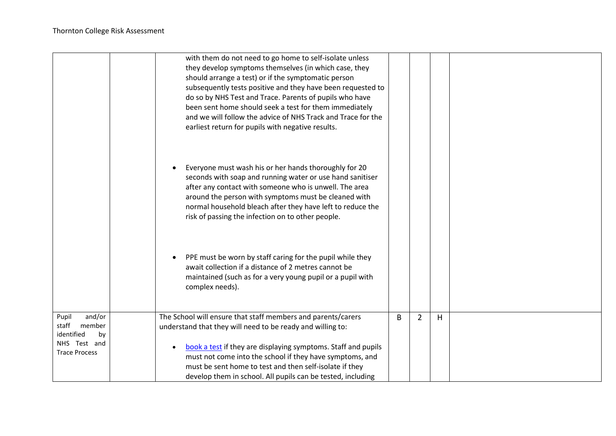|                                                                                                | with them do not need to go home to self-isolate unless<br>they develop symptoms themselves (in which case, they<br>should arrange a test) or if the symptomatic person<br>subsequently tests positive and they have been requested to<br>do so by NHS Test and Trace. Parents of pupils who have<br>been sent home should seek a test for them immediately<br>and we will follow the advice of NHS Track and Trace for the<br>earliest return for pupils with negative results. |   |                     |  |
|------------------------------------------------------------------------------------------------|----------------------------------------------------------------------------------------------------------------------------------------------------------------------------------------------------------------------------------------------------------------------------------------------------------------------------------------------------------------------------------------------------------------------------------------------------------------------------------|---|---------------------|--|
|                                                                                                | Everyone must wash his or her hands thoroughly for 20<br>seconds with soap and running water or use hand sanitiser<br>after any contact with someone who is unwell. The area<br>around the person with symptoms must be cleaned with<br>normal household bleach after they have left to reduce the<br>risk of passing the infection on to other people.                                                                                                                          |   |                     |  |
|                                                                                                | PPE must be worn by staff caring for the pupil while they<br>$\bullet$<br>await collection if a distance of 2 metres cannot be<br>maintained (such as for a very young pupil or a pupil with<br>complex needs).                                                                                                                                                                                                                                                                  |   |                     |  |
| and/or<br>Pupil<br>staff<br>member<br>identified<br>by<br>NHS Test and<br><b>Trace Process</b> | The School will ensure that staff members and parents/carers<br>understand that they will need to be ready and willing to:<br>book a test if they are displaying symptoms. Staff and pupils<br>$\bullet$<br>must not come into the school if they have symptoms, and<br>must be sent home to test and then self-isolate if they<br>develop them in school. All pupils can be tested, including                                                                                   | B | H<br>$\overline{2}$ |  |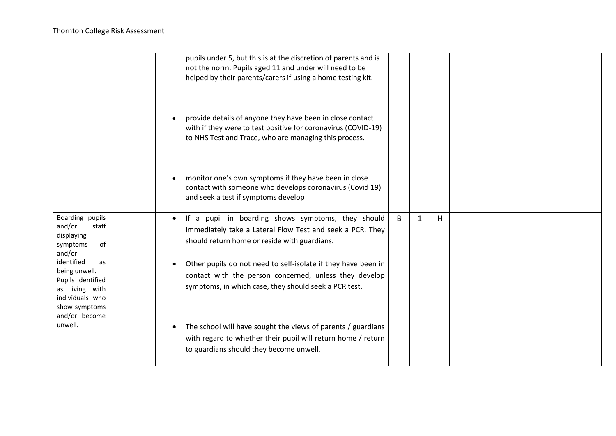|                                                                                                              | pupils under 5, but this is at the discretion of parents and is<br>not the norm. Pupils aged 11 and under will need to be<br>helped by their parents/carers if using a home testing kit. |   |              |   |  |
|--------------------------------------------------------------------------------------------------------------|------------------------------------------------------------------------------------------------------------------------------------------------------------------------------------------|---|--------------|---|--|
|                                                                                                              | provide details of anyone they have been in close contact<br>with if they were to test positive for coronavirus (COVID-19)<br>to NHS Test and Trace, who are managing this process.      |   |              |   |  |
|                                                                                                              | monitor one's own symptoms if they have been in close<br>$\bullet$<br>contact with someone who develops coronavirus (Covid 19)<br>and seek a test if symptoms develop                    |   |              |   |  |
| Boarding pupils<br>and/or<br>staff<br>displaying<br>of<br>symptoms<br>and/or                                 | If a pupil in boarding shows symptoms, they should<br>immediately take a Lateral Flow Test and seek a PCR. They<br>should return home or reside with guardians.                          | B | $\mathbf{1}$ | H |  |
| identified<br>as<br>being unwell.<br>Pupils identified<br>as living with<br>individuals who<br>show symptoms | Other pupils do not need to self-isolate if they have been in<br>contact with the person concerned, unless they develop<br>symptoms, in which case, they should seek a PCR test.         |   |              |   |  |
| and/or become<br>unwell.                                                                                     | The school will have sought the views of parents / guardians<br>with regard to whether their pupil will return home / return<br>to guardians should they become unwell.                  |   |              |   |  |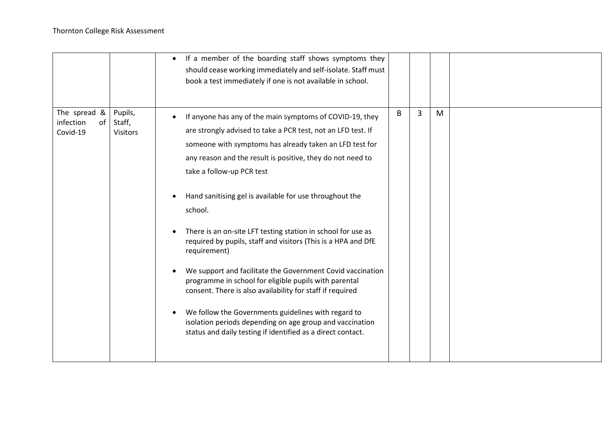|                                                |                                      | If a member of the boarding staff shows symptoms they<br>$\bullet$<br>should cease working immediately and self-isolate. Staff must<br>book a test immediately if one is not available in school.                                                                                                                                                                                                                                                                                                                                                                                                                                                                                                                                                                                                                                                                                                     |   |   |   |  |
|------------------------------------------------|--------------------------------------|-------------------------------------------------------------------------------------------------------------------------------------------------------------------------------------------------------------------------------------------------------------------------------------------------------------------------------------------------------------------------------------------------------------------------------------------------------------------------------------------------------------------------------------------------------------------------------------------------------------------------------------------------------------------------------------------------------------------------------------------------------------------------------------------------------------------------------------------------------------------------------------------------------|---|---|---|--|
| The spread $\&$<br>infection<br>of<br>Covid-19 | Pupils,<br>Staff,<br><b>Visitors</b> | If anyone has any of the main symptoms of COVID-19, they<br>are strongly advised to take a PCR test, not an LFD test. If<br>someone with symptoms has already taken an LFD test for<br>any reason and the result is positive, they do not need to<br>take a follow-up PCR test<br>Hand sanitising gel is available for use throughout the<br>$\bullet$<br>school.<br>There is an on-site LFT testing station in school for use as<br>required by pupils, staff and visitors (This is a HPA and DfE<br>requirement)<br>We support and facilitate the Government Covid vaccination<br>programme in school for eligible pupils with parental<br>consent. There is also availability for staff if required<br>We follow the Governments guidelines with regard to<br>$\bullet$<br>isolation periods depending on age group and vaccination<br>status and daily testing if identified as a direct contact. | B | 3 | M |  |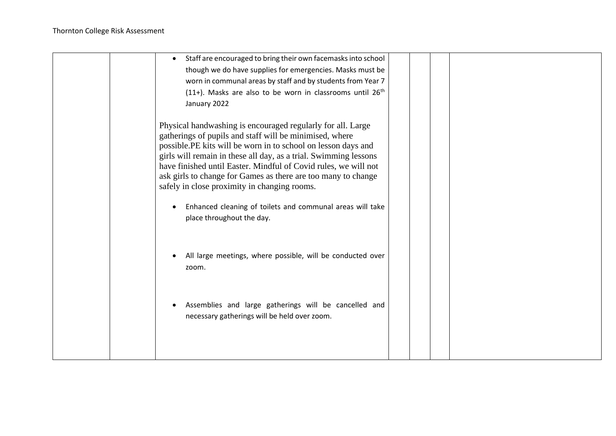| Staff are encouraged to bring their own facemasks into school<br>$\bullet$ |  |  |  |
|----------------------------------------------------------------------------|--|--|--|
| though we do have supplies for emergencies. Masks must be                  |  |  |  |
| worn in communal areas by staff and by students from Year 7                |  |  |  |
| $(11+)$ . Masks are also to be worn in classrooms until 26 <sup>th</sup>   |  |  |  |
| January 2022                                                               |  |  |  |
|                                                                            |  |  |  |
| Physical handwashing is encouraged regularly for all. Large                |  |  |  |
| gatherings of pupils and staff will be minimised, where                    |  |  |  |
| possible.PE kits will be worn in to school on lesson days and              |  |  |  |
| girls will remain in these all day, as a trial. Swimming lessons           |  |  |  |
| have finished until Easter. Mindful of Covid rules, we will not            |  |  |  |
| ask girls to change for Games as there are too many to change              |  |  |  |
| safely in close proximity in changing rooms.                               |  |  |  |
|                                                                            |  |  |  |
| Enhanced cleaning of toilets and communal areas will take                  |  |  |  |
| place throughout the day.                                                  |  |  |  |
|                                                                            |  |  |  |
|                                                                            |  |  |  |
| All large meetings, where possible, will be conducted over                 |  |  |  |
| zoom.                                                                      |  |  |  |
|                                                                            |  |  |  |
|                                                                            |  |  |  |
|                                                                            |  |  |  |
| Assemblies and large gatherings will be cancelled and                      |  |  |  |
| necessary gatherings will be held over zoom.                               |  |  |  |
|                                                                            |  |  |  |
|                                                                            |  |  |  |
|                                                                            |  |  |  |
|                                                                            |  |  |  |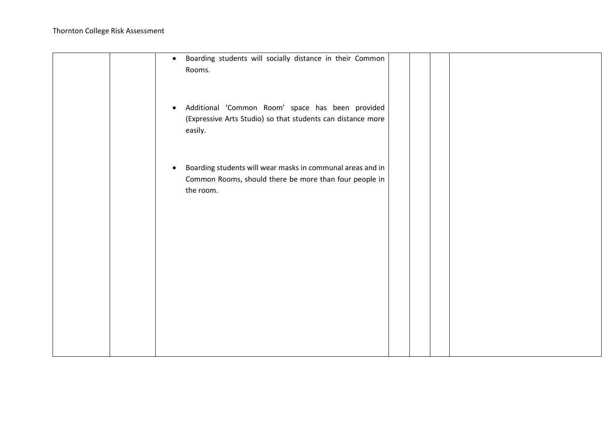|  | Boarding students will socially distance in their Common<br>$\bullet$<br>Rooms.                                                                |  |  |
|--|------------------------------------------------------------------------------------------------------------------------------------------------|--|--|
|  | Additional 'Common Room' space has been provided<br>$\bullet$<br>(Expressive Arts Studio) so that students can distance more<br>easily.        |  |  |
|  | Boarding students will wear masks in communal areas and in<br>$\bullet$<br>Common Rooms, should there be more than four people in<br>the room. |  |  |
|  |                                                                                                                                                |  |  |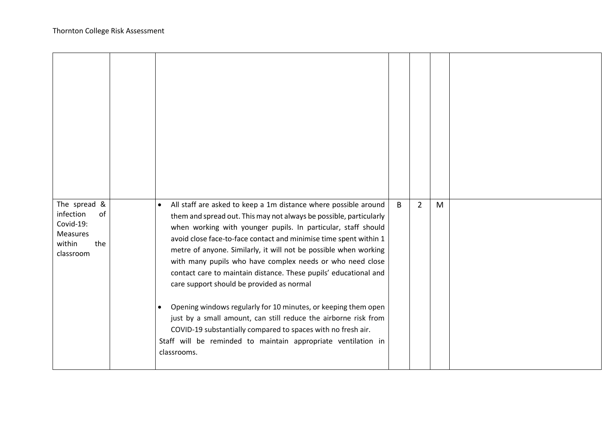| The spread &<br>infection<br>of<br>Covid-19:<br><b>Measures</b><br>within<br>the<br>classroom | All staff are asked to keep a 1m distance where possible around<br>$\bullet$<br>them and spread out. This may not always be possible, particularly<br>when working with younger pupils. In particular, staff should<br>avoid close face-to-face contact and minimise time spent within 1<br>metre of anyone. Similarly, it will not be possible when working<br>with many pupils who have complex needs or who need close<br>contact care to maintain distance. These pupils' educational and<br>care support should be provided as normal<br>Opening windows regularly for 10 minutes, or keeping them open<br>$\bullet$<br>just by a small amount, can still reduce the airborne risk from<br>COVID-19 substantially compared to spaces with no fresh air.<br>Staff will be reminded to maintain appropriate ventilation in<br>classrooms. | B | $\overline{2}$ | M |  |
|-----------------------------------------------------------------------------------------------|----------------------------------------------------------------------------------------------------------------------------------------------------------------------------------------------------------------------------------------------------------------------------------------------------------------------------------------------------------------------------------------------------------------------------------------------------------------------------------------------------------------------------------------------------------------------------------------------------------------------------------------------------------------------------------------------------------------------------------------------------------------------------------------------------------------------------------------------|---|----------------|---|--|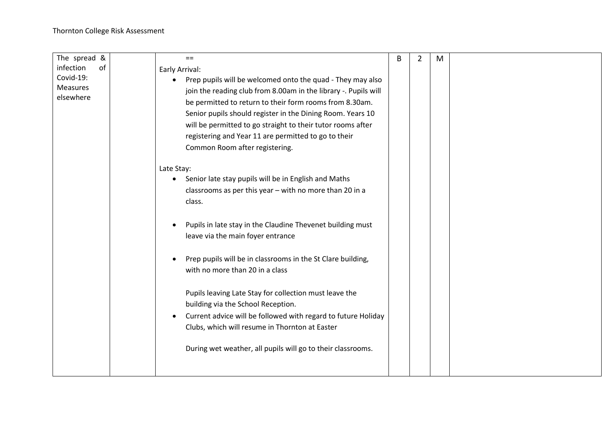| The spread &    | $==$                                                                    | B | $\overline{2}$ | M |  |
|-----------------|-------------------------------------------------------------------------|---|----------------|---|--|
| infection<br>of | Early Arrival:                                                          |   |                |   |  |
| Covid-19:       | Prep pupils will be welcomed onto the quad - They may also<br>$\bullet$ |   |                |   |  |
| <b>Measures</b> | join the reading club from 8.00am in the library -. Pupils will         |   |                |   |  |
| elsewhere       | be permitted to return to their form rooms from 8.30am.                 |   |                |   |  |
|                 | Senior pupils should register in the Dining Room. Years 10              |   |                |   |  |
|                 | will be permitted to go straight to their tutor rooms after             |   |                |   |  |
|                 | registering and Year 11 are permitted to go to their                    |   |                |   |  |
|                 | Common Room after registering.                                          |   |                |   |  |
|                 |                                                                         |   |                |   |  |
|                 | Late Stay:                                                              |   |                |   |  |
|                 | Senior late stay pupils will be in English and Maths<br>٠               |   |                |   |  |
|                 | classrooms as per this year - with no more than 20 in a                 |   |                |   |  |
|                 | class.                                                                  |   |                |   |  |
|                 |                                                                         |   |                |   |  |
|                 | Pupils in late stay in the Claudine Thevenet building must              |   |                |   |  |
|                 | leave via the main foyer entrance                                       |   |                |   |  |
|                 |                                                                         |   |                |   |  |
|                 | Prep pupils will be in classrooms in the St Clare building,             |   |                |   |  |
|                 | with no more than 20 in a class                                         |   |                |   |  |
|                 |                                                                         |   |                |   |  |
|                 | Pupils leaving Late Stay for collection must leave the                  |   |                |   |  |
|                 | building via the School Reception.                                      |   |                |   |  |
|                 | Current advice will be followed with regard to future Holiday           |   |                |   |  |
|                 | Clubs, which will resume in Thornton at Easter                          |   |                |   |  |
|                 |                                                                         |   |                |   |  |
|                 | During wet weather, all pupils will go to their classrooms.             |   |                |   |  |
|                 |                                                                         |   |                |   |  |
|                 |                                                                         |   |                |   |  |
|                 |                                                                         |   |                |   |  |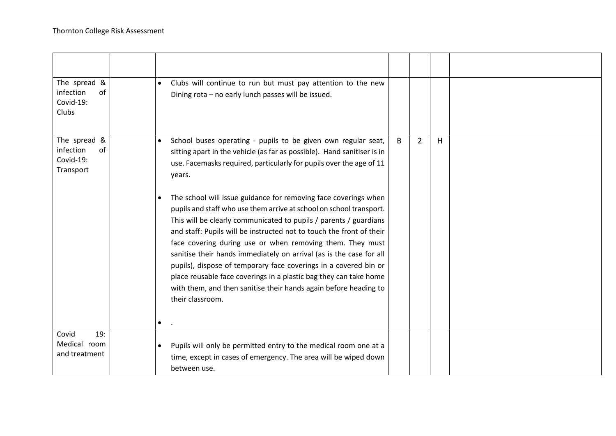| The spread &<br>infection<br>of<br>Covid-19:<br>Clubs     | $\bullet$              | Clubs will continue to run but must pay attention to the new<br>Dining rota - no early lunch passes will be issued.                                                                                                                                                                                                                                                                                                                                                                                                                                                                                                                                      |   |                |    |  |
|-----------------------------------------------------------|------------------------|----------------------------------------------------------------------------------------------------------------------------------------------------------------------------------------------------------------------------------------------------------------------------------------------------------------------------------------------------------------------------------------------------------------------------------------------------------------------------------------------------------------------------------------------------------------------------------------------------------------------------------------------------------|---|----------------|----|--|
| The spread &<br>infection<br>of<br>Covid-19:<br>Transport | $\bullet$              | School buses operating - pupils to be given own regular seat,<br>sitting apart in the vehicle (as far as possible). Hand sanitiser is in<br>use. Facemasks required, particularly for pupils over the age of 11<br>years.                                                                                                                                                                                                                                                                                                                                                                                                                                | B | $\overline{2}$ | H. |  |
|                                                           | $\bullet$<br>$\bullet$ | The school will issue guidance for removing face coverings when<br>pupils and staff who use them arrive at school on school transport.<br>This will be clearly communicated to pupils / parents / guardians<br>and staff: Pupils will be instructed not to touch the front of their<br>face covering during use or when removing them. They must<br>sanitise their hands immediately on arrival (as is the case for all<br>pupils), dispose of temporary face coverings in a covered bin or<br>place reusable face coverings in a plastic bag they can take home<br>with them, and then sanitise their hands again before heading to<br>their classroom. |   |                |    |  |
| 19:<br>Covid<br>Medical room<br>and treatment             |                        | Pupils will only be permitted entry to the medical room one at a<br>time, except in cases of emergency. The area will be wiped down<br>between use.                                                                                                                                                                                                                                                                                                                                                                                                                                                                                                      |   |                |    |  |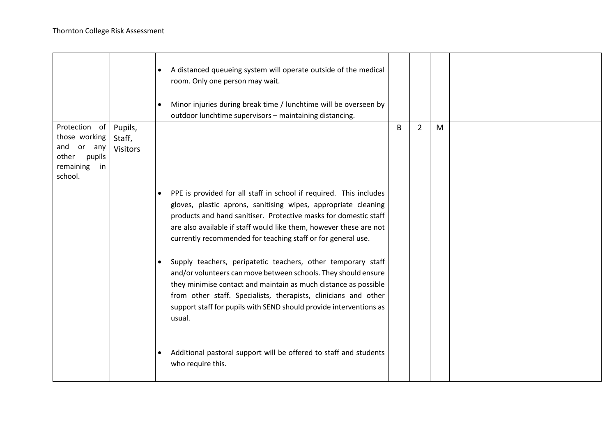|                                                                                                     |                                      | A distanced queueing system will operate outside of the medical<br>room. Only one person may wait.<br>Minor injuries during break time / lunchtime will be overseen by<br>outdoor lunchtime supervisors - maintaining distancing.                                                                                                                                 |   |                |   |  |
|-----------------------------------------------------------------------------------------------------|--------------------------------------|-------------------------------------------------------------------------------------------------------------------------------------------------------------------------------------------------------------------------------------------------------------------------------------------------------------------------------------------------------------------|---|----------------|---|--|
| Protection of<br>those working<br>and<br>or<br>any<br>other<br>pupils<br>remaining<br>in<br>school. | Pupils,<br>Staff,<br><b>Visitors</b> |                                                                                                                                                                                                                                                                                                                                                                   | B | $\overline{2}$ | M |  |
|                                                                                                     |                                      | PPE is provided for all staff in school if required. This includes<br>gloves, plastic aprons, sanitising wipes, appropriate cleaning<br>products and hand sanitiser. Protective masks for domestic staff<br>are also available if staff would like them, however these are not<br>currently recommended for teaching staff or for general use.                    |   |                |   |  |
|                                                                                                     |                                      | Supply teachers, peripatetic teachers, other temporary staff<br>$\bullet$<br>and/or volunteers can move between schools. They should ensure<br>they minimise contact and maintain as much distance as possible<br>from other staff. Specialists, therapists, clinicians and other<br>support staff for pupils with SEND should provide interventions as<br>usual. |   |                |   |  |
|                                                                                                     |                                      | Additional pastoral support will be offered to staff and students<br>who require this.                                                                                                                                                                                                                                                                            |   |                |   |  |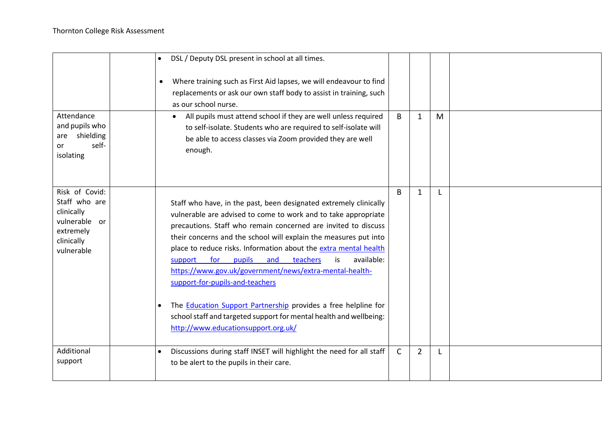|                                                                                                         | $\bullet$ | DSL / Deputy DSL present in school at all times.<br>Where training such as First Aid lapses, we will endeavour to find<br>replacements or ask our own staff body to assist in training, such<br>as our school nurse.                                                                                                                                                                                                                                                                                                                                                                                                                                                                                  |              |                |   |  |
|---------------------------------------------------------------------------------------------------------|-----------|-------------------------------------------------------------------------------------------------------------------------------------------------------------------------------------------------------------------------------------------------------------------------------------------------------------------------------------------------------------------------------------------------------------------------------------------------------------------------------------------------------------------------------------------------------------------------------------------------------------------------------------------------------------------------------------------------------|--------------|----------------|---|--|
| Attendance<br>and pupils who<br>shielding<br>are<br>self-<br>or<br>isolating                            |           | All pupils must attend school if they are well unless required<br>$\bullet$<br>to self-isolate. Students who are required to self-isolate will<br>be able to access classes via Zoom provided they are well<br>enough.                                                                                                                                                                                                                                                                                                                                                                                                                                                                                | B            | $\mathbf{1}$   | M |  |
| Risk of Covid:<br>Staff who are<br>clinically<br>vulnerable or<br>extremely<br>clinically<br>vulnerable | $\bullet$ | Staff who have, in the past, been designated extremely clinically<br>vulnerable are advised to come to work and to take appropriate<br>precautions. Staff who remain concerned are invited to discuss<br>their concerns and the school will explain the measures put into<br>place to reduce risks. Information about the extra mental health<br>available:<br>for<br>pupils<br>and<br>teachers<br>support<br>is.<br>https://www.gov.uk/government/news/extra-mental-health-<br>support-for-pupils-and-teachers<br>The <b>Education Support Partnership</b> provides a free helpline for<br>school staff and targeted support for mental health and wellbeing:<br>http://www.educationsupport.org.uk/ | B            | $\mathbf{1}$   |   |  |
| Additional<br>support                                                                                   | $\bullet$ | Discussions during staff INSET will highlight the need for all staff<br>to be alert to the pupils in their care.                                                                                                                                                                                                                                                                                                                                                                                                                                                                                                                                                                                      | $\mathsf{C}$ | $\overline{2}$ | L |  |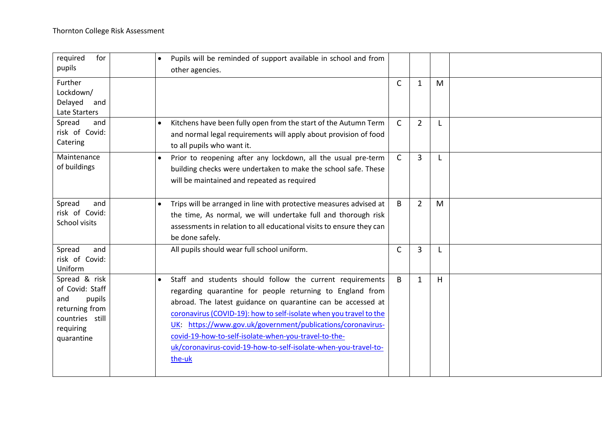| required<br>for<br>pupils                                                                                         | Pupils will be reminded of support available in school and from<br>$\bullet$<br>other agencies.                                                                                                                                                                                                                                                                                                                                                                               |              |                |    |  |
|-------------------------------------------------------------------------------------------------------------------|-------------------------------------------------------------------------------------------------------------------------------------------------------------------------------------------------------------------------------------------------------------------------------------------------------------------------------------------------------------------------------------------------------------------------------------------------------------------------------|--------------|----------------|----|--|
| Further<br>Lockdown/<br>Delayed<br>and<br>Late Starters                                                           |                                                                                                                                                                                                                                                                                                                                                                                                                                                                               | $\mathsf{C}$ | $\mathbf{1}$   | M  |  |
| Spread<br>and<br>risk of Covid:<br>Catering                                                                       | Kitchens have been fully open from the start of the Autumn Term<br>$\bullet$<br>and normal legal requirements will apply about provision of food<br>to all pupils who want it.                                                                                                                                                                                                                                                                                                | $\mathsf{C}$ | $\overline{2}$ |    |  |
| Maintenance<br>of buildings                                                                                       | Prior to reopening after any lockdown, all the usual pre-term<br>$\bullet$<br>building checks were undertaken to make the school safe. These<br>will be maintained and repeated as required                                                                                                                                                                                                                                                                                   | $\mathsf{C}$ | 3              |    |  |
| Spread<br>and<br>risk of Covid:<br>School visits                                                                  | Trips will be arranged in line with protective measures advised at<br>$\bullet$<br>the time, As normal, we will undertake full and thorough risk<br>assessments in relation to all educational visits to ensure they can<br>be done safely.                                                                                                                                                                                                                                   | B            | $\overline{2}$ | M  |  |
| Spread<br>and<br>risk of Covid:<br>Uniform                                                                        | All pupils should wear full school uniform.                                                                                                                                                                                                                                                                                                                                                                                                                                   | $\mathsf{C}$ | 3              |    |  |
| Spread & risk<br>of Covid: Staff<br>pupils<br>and<br>returning from<br>countries still<br>requiring<br>quarantine | Staff and students should follow the current requirements<br>$\bullet$<br>regarding quarantine for people returning to England from<br>abroad. The latest guidance on quarantine can be accessed at<br>coronavirus (COVID-19): how to self-isolate when you travel to the<br>UK: https://www.gov.uk/government/publications/coronavirus-<br>covid-19-how-to-self-isolate-when-you-travel-to-the-<br>uk/coronavirus-covid-19-how-to-self-isolate-when-you-travel-to-<br>the-uk | B            | $\mathbf{1}$   | H. |  |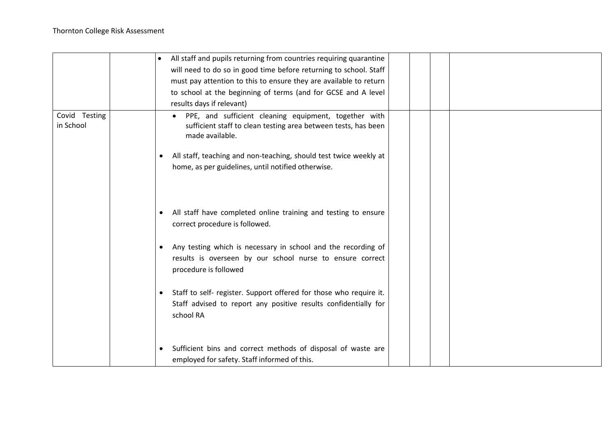|                            | $\bullet$              | All staff and pupils returning from countries requiring quarantine<br>will need to do so in good time before returning to school. Staff<br>must pay attention to this to ensure they are available to return<br>to school at the beginning of terms (and for GCSE and A level<br>results days if relevant)                                                                                                    |  |  |
|----------------------------|------------------------|---------------------------------------------------------------------------------------------------------------------------------------------------------------------------------------------------------------------------------------------------------------------------------------------------------------------------------------------------------------------------------------------------------------|--|--|
| Covid Testing<br>in School |                        | PPE, and sufficient cleaning equipment, together with<br>sufficient staff to clean testing area between tests, has been<br>made available.<br>All staff, teaching and non-teaching, should test twice weekly at<br>home, as per guidelines, until notified otherwise.                                                                                                                                         |  |  |
|                            | $\bullet$<br>$\bullet$ | All staff have completed online training and testing to ensure<br>correct procedure is followed.<br>Any testing which is necessary in school and the recording of<br>results is overseen by our school nurse to ensure correct<br>procedure is followed<br>Staff to self- register. Support offered for those who require it.<br>Staff advised to report any positive results confidentially for<br>school RA |  |  |
|                            | $\bullet$              | Sufficient bins and correct methods of disposal of waste are<br>employed for safety. Staff informed of this.                                                                                                                                                                                                                                                                                                  |  |  |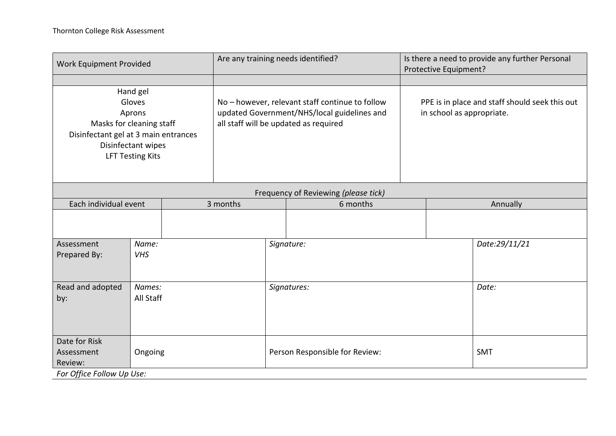| Work Equipment Provided                                                                                                                           |                     |  | Are any training needs identified?                                                                                                      |             |                                | Is there a need to provide any further Personal<br>Protective Equipment?    |               |  |  |
|---------------------------------------------------------------------------------------------------------------------------------------------------|---------------------|--|-----------------------------------------------------------------------------------------------------------------------------------------|-------------|--------------------------------|-----------------------------------------------------------------------------|---------------|--|--|
| Hand gel<br>Gloves<br>Aprons<br>Masks for cleaning staff<br>Disinfectant gel at 3 main entrances<br>Disinfectant wipes<br><b>LFT Testing Kits</b> |                     |  | No - however, relevant staff continue to follow<br>updated Government/NHS/local guidelines and<br>all staff will be updated as required |             |                                | PPE is in place and staff should seek this out<br>in school as appropriate. |               |  |  |
| Frequency of Reviewing (please tick)                                                                                                              |                     |  |                                                                                                                                         |             |                                |                                                                             |               |  |  |
| Each individual event                                                                                                                             |                     |  | 3 months                                                                                                                                |             | 6 months                       |                                                                             | Annually      |  |  |
|                                                                                                                                                   |                     |  |                                                                                                                                         |             |                                |                                                                             |               |  |  |
| Assessment<br>Prepared By:                                                                                                                        | Name:<br><b>VHS</b> |  |                                                                                                                                         |             | Signature:                     |                                                                             | Date:29/11/21 |  |  |
| Read and adopted<br>by:                                                                                                                           | Names:<br>All Staff |  |                                                                                                                                         | Signatures: |                                |                                                                             | Date:         |  |  |
| Date for Risk<br>Ongoing<br>Assessment<br>Review:<br>For Office Follow Up Use:                                                                    |                     |  |                                                                                                                                         |             | Person Responsible for Review: |                                                                             | <b>SMT</b>    |  |  |